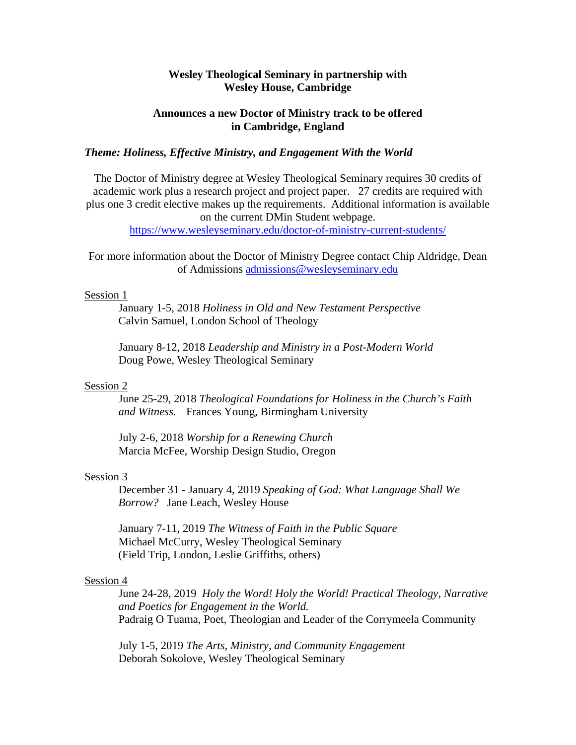# **Wesley Theological Seminary in partnership with Wesley House, Cambridge**

### **Announces a new Doctor of Ministry track to be offered in Cambridge, England**

# *Theme: Holiness, Effective Ministry, and Engagement With the World*

The Doctor of Ministry degree at Wesley Theological Seminary requires 30 credits of academic work plus a research project and project paper. 27 credits are required with plus one 3 credit elective makes up the requirements. Additional information is available on the current DMin Student webpage.

https://www.wesleyseminary.edu/doctor-of-ministry-current-students/

For more information about the Doctor of Ministry Degree contact Chip Aldridge, Dean of Admissions admissions@wesleyseminary.edu

#### Session 1

 January 1-5, 2018 *Holiness in Old and New Testament Perspective*  Calvin Samuel, London School of Theology

 January 8-12, 2018 *Leadership and Ministry in a Post-Modern World*  Doug Powe, Wesley Theological Seminary

### Session 2

June 25-29, 2018 *Theological Foundations for Holiness in the Church's Faith and Witness.* Frances Young, Birmingham University

 July 2-6, 2018 *Worship for a Renewing Church*  Marcia McFee, Worship Design Studio, Oregon

#### Session 3

 December 31 - January 4, 2019 *Speaking of God: What Language Shall We Borrow?* Jane Leach, Wesley House

 January 7-11, 2019 *The Witness of Faith in the Public Square*  Michael McCurry, Wesley Theological Seminary (Field Trip, London, Leslie Griffiths, others)

### Session 4

 June 24-28, 2019 *Holy the Word! Holy the World! Practical Theology, Narrative and Poetics for Engagement in the World.*  Padraig O Tuama, Poet, Theologian and Leader of the Corrymeela Community

 July 1-5, 2019 *The Arts, Ministry, and Community Engagement*  Deborah Sokolove, Wesley Theological Seminary